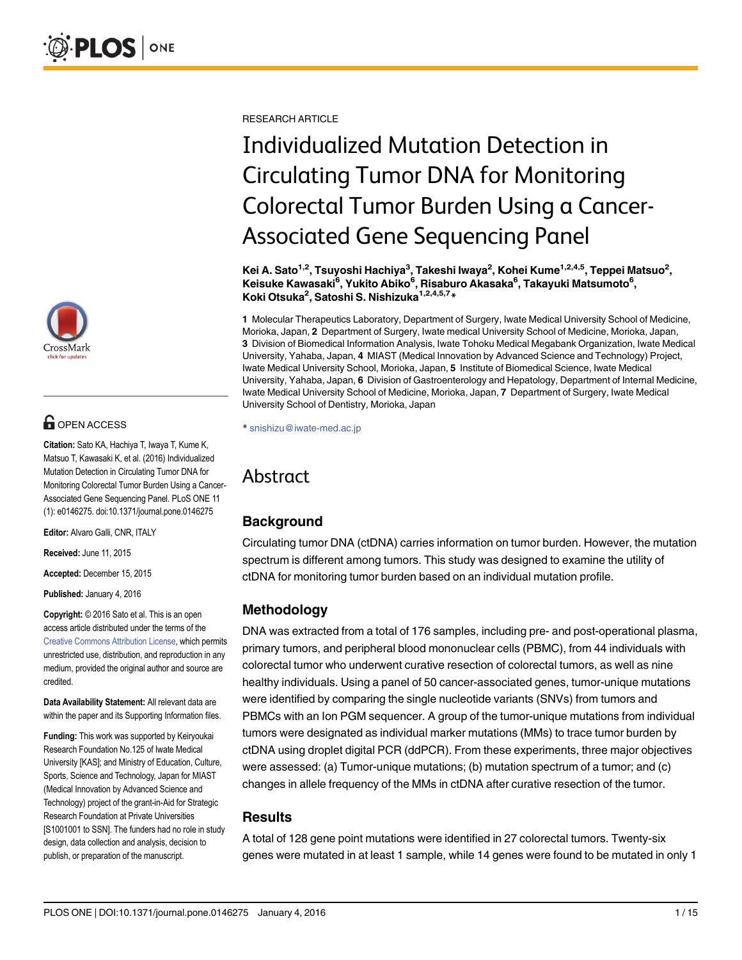

# **OPEN ACCESS**

Citation: Sato KA, Hachiya T, Iwaya T, Kume K, Matsuo T, Kawasaki K, et al. (2016) Individualized Mutation Detection in Circulating Tumor DNA for Monitoring Colorectal Tumor Burden Using a Cancer-Associated Gene Sequencing Panel. PLoS ONE 11 (1): e0146275. doi:10.1371/journal.pone.0146275

Editor: Alvaro Galli, CNR, ITALY

Received: June 11, 2015

Accepted: December 15, 2015

Published: January 4, 2016

Copyright: © 2016 Sato et al. This is an open access article distributed under the terms of the [Creative Commons Attribution License,](http://creativecommons.org/licenses/by/4.0/) which permits unrestricted use, distribution, and reproduction in any medium, provided the original author and source are credited.

Data Availability Statement: All relevant data are within the paper and its Supporting Information files.

Funding: This work was supported by Keiryoukai Research Foundation No.125 of Iwate Medical University [KAS]; and Ministry of Education, Culture, Sports, Science and Technology, Japan for MIAST (Medical Innovation by Advanced Science and Technology) project of the grant-in-Aid for Strategic Research Foundation at Private Universities [S1001001 to SSN]. The funders had no role in study design, data collection and analysis, decision to publish, or preparation of the manuscript.

RESEARCH ARTICLE

# Individualized Mutation Detection in Circulating Tumor DNA for Monitoring Colorectal Tumor Burden Using a Cancer-Associated Gene Sequencing Panel

Kei A. Sato<sup>1,2</sup>, Tsuyoshi Hachiya<sup>3</sup>, Takeshi Iwaya<sup>2</sup>, Kohei Kume<sup>1,2,4,5</sup>, Teppei Matsuo<sup>2</sup>, Keisuke Kawasaki<sup>6</sup>, Yukito Abiko<sup>6</sup>, Risaburo Akasaka<sup>6</sup>, Takayuki Matsumoto<sup>6</sup>, Koki Otsuka<sup>2</sup>, Satoshi S. Nishizuka<sup>1,2,4,5,7</sup>\*

1 Molecular Therapeutics Laboratory, Department of Surgery, Iwate Medical University School of Medicine, Morioka, Japan, 2 Department of Surgery, Iwate medical University School of Medicine, Morioka, Japan, 3 Division of Biomedical Information Analysis, Iwate Tohoku Medical Megabank Organization, Iwate Medical University, Yahaba, Japan, 4 MIAST (Medical Innovation by Advanced Science and Technology) Project, Iwate Medical University School, Morioka, Japan, 5 Institute of Biomedical Science, Iwate Medical University, Yahaba, Japan, 6 Division of Gastroenterology and Hepatology, Department of Internal Medicine, Iwate Medical University School of Medicine, Morioka, Japan, 7 Department of Surgery, Iwate Medical University School of Dentistry, Morioka, Japan

\* snishizu@iwate-med.ac.jp

# Abstract

#### **Background**

Circulating tumor DNA (ctDNA) carries information on tumor burden. However, the mutation spectrum is different among tumors. This study was designed to examine the utility of ctDNA for monitoring tumor burden based on an individual mutation profile.

# Methodology

DNA was extracted from a total of 176 samples, including pre- and post-operational plasma, primary tumors, and peripheral blood mononuclear cells (PBMC), from 44 individuals with colorectal tumor who underwent curative resection of colorectal tumors, as well as nine healthy individuals. Using a panel of 50 cancer-associated genes, tumor-unique mutations were identified by comparing the single nucleotide variants (SNVs) from tumors and PBMCs with an Ion PGM sequencer. A group of the tumor-unique mutations from individual tumors were designated as individual marker mutations (MMs) to trace tumor burden by ctDNA using droplet digital PCR (ddPCR). From these experiments, three major objectives were assessed: (a) Tumor-unique mutations; (b) mutation spectrum of a tumor; and (c) changes in allele frequency of the MMs in ctDNA after curative resection of the tumor.

#### Results

A total of 128 gene point mutations were identified in 27 colorectal tumors. Twenty-six genes were mutated in at least 1 sample, while 14 genes were found to be mutated in only 1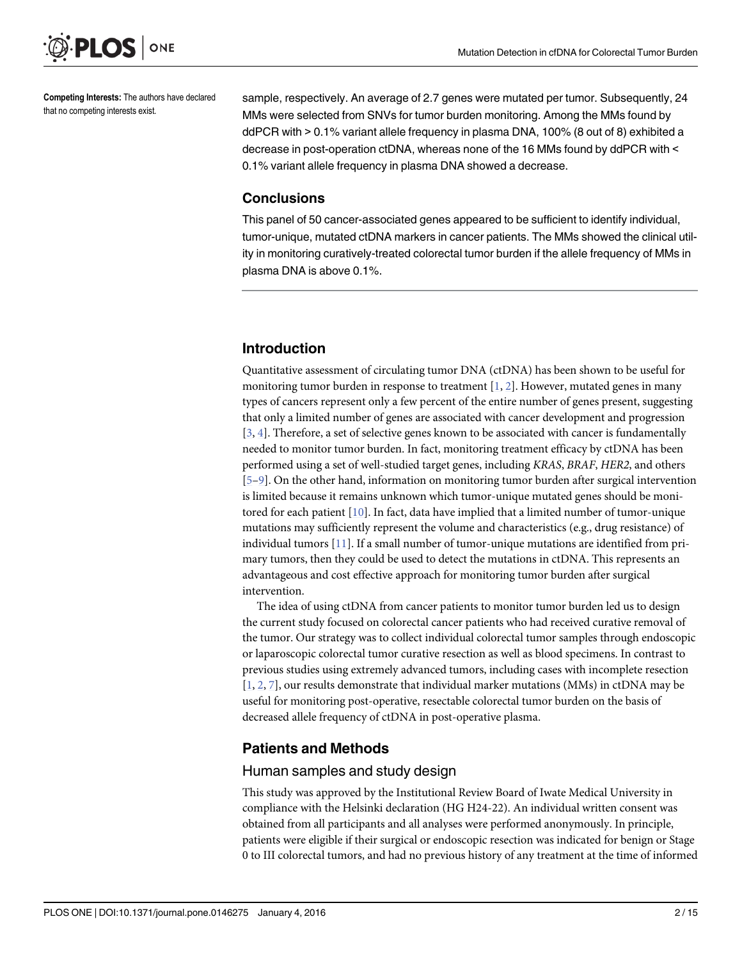<span id="page-1-0"></span>

Competing Interests: The authors have declared that no competing interests exist.

sample, respectively. An average of 2.7 genes were mutated per tumor. Subsequently, 24 MMs were selected from SNVs for tumor burden monitoring. Among the MMs found by ddPCR with > 0.1% variant allele frequency in plasma DNA, 100% (8 out of 8) exhibited a decrease in post-operation ctDNA, whereas none of the 16 MMs found by ddPCR with < 0.1% variant allele frequency in plasma DNA showed a decrease.

#### **Conclusions**

This panel of 50 cancer-associated genes appeared to be sufficient to identify individual, tumor-unique, mutated ctDNA markers in cancer patients. The MMs showed the clinical utility in monitoring curatively-treated colorectal tumor burden if the allele frequency of MMs in plasma DNA is above 0.1%.

# Introduction

Quantitative assessment of circulating tumor DNA (ctDNA) has been shown to be useful for monitoring tumor burden in response to treatment  $[1, 2]$  $[1, 2]$  $[1, 2]$  $[1, 2]$ . However, mutated genes in many types of cancers represent only a few percent of the entire number of genes present, suggesting that only a limited number of genes are associated with cancer development and progression  $[3, 4]$  $[3, 4]$  $[3, 4]$  $[3, 4]$ . Therefore, a set of selective genes known to be associated with cancer is fundamentally needed to monitor tumor burden. In fact, monitoring treatment efficacy by ctDNA has been performed using a set of well-studied target genes, including KRAS, BRAF, HER2, and others  $[5-9]$  $[5-9]$  $[5-9]$  $[5-9]$ . On the other hand, information on monitoring tumor burden after surgical intervention is limited because it remains unknown which tumor-unique mutated genes should be monitored for each patient  $[10]$  $[10]$  $[10]$ . In fact, data have implied that a limited number of tumor-unique mutations may sufficiently represent the volume and characteristics (e.g., drug resistance) of individual tumors [[11](#page-13-0)]. If a small number of tumor-unique mutations are identified from primary tumors, then they could be used to detect the mutations in ctDNA. This represents an advantageous and cost effective approach for monitoring tumor burden after surgical intervention.

The idea of using ctDNA from cancer patients to monitor tumor burden led us to design the current study focused on colorectal cancer patients who had received curative removal of the tumor. Our strategy was to collect individual colorectal tumor samples through endoscopic or laparoscopic colorectal tumor curative resection as well as blood specimens. In contrast to previous studies using extremely advanced tumors, including cases with incomplete resection [\[1](#page-12-0), [2](#page-12-0), [7\]](#page-12-0), our results demonstrate that individual marker mutations (MMs) in ctDNA may be useful for monitoring post-operative, resectable colorectal tumor burden on the basis of decreased allele frequency of ctDNA in post-operative plasma.

#### Patients and Methods

#### Human samples and study design

This study was approved by the Institutional Review Board of Iwate Medical University in compliance with the Helsinki declaration (HG H24-22). An individual written consent was obtained from all participants and all analyses were performed anonymously. In principle, patients were eligible if their surgical or endoscopic resection was indicated for benign or Stage 0 to III colorectal tumors, and had no previous history of any treatment at the time of informed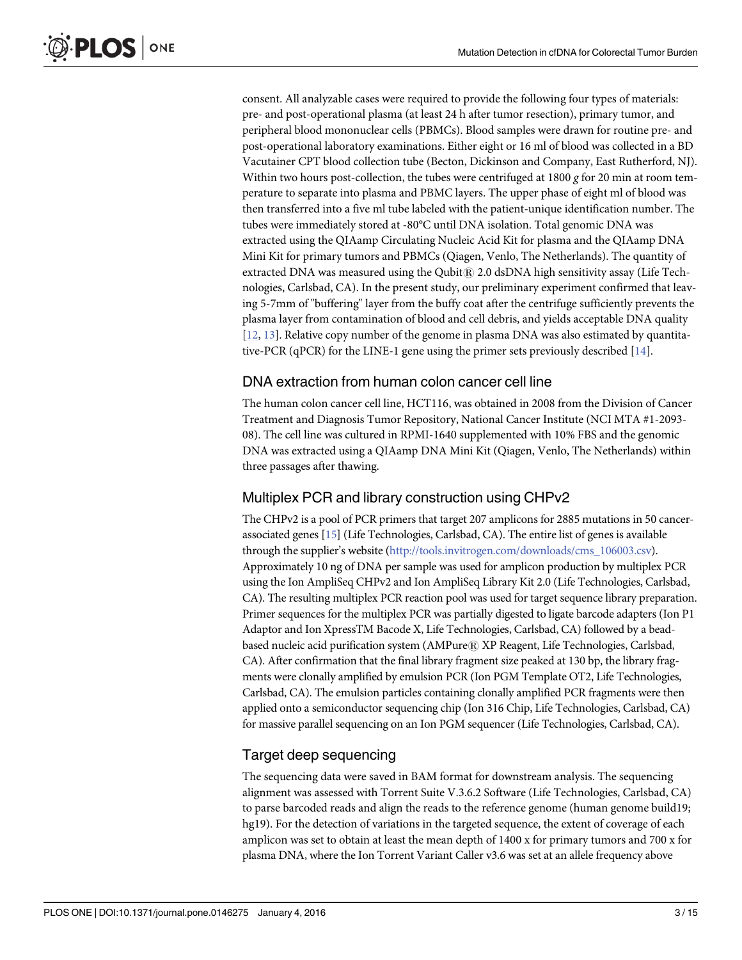<span id="page-2-0"></span>consent. All analyzable cases were required to provide the following four types of materials: pre- and post-operational plasma (at least 24 h after tumor resection), primary tumor, and peripheral blood mononuclear cells (PBMCs). Blood samples were drawn for routine pre- and post-operational laboratory examinations. Either eight or 16 ml of blood was collected in a BD Vacutainer CPT blood collection tube (Becton, Dickinson and Company, East Rutherford, NJ). Within two hours post-collection, the tubes were centrifuged at  $1800 g$  for 20 min at room temperature to separate into plasma and PBMC layers. The upper phase of eight ml of blood was then transferred into a five ml tube labeled with the patient-unique identification number. The tubes were immediately stored at -80°C until DNA isolation. Total genomic DNA was extracted using the QIAamp Circulating Nucleic Acid Kit for plasma and the QIAamp DNA Mini Kit for primary tumors and PBMCs (Qiagen, Venlo, The Netherlands). The quantity of extracted DNA was measured using the Qubit $@$  2.0 dsDNA high sensitivity assay (Life Technologies, Carlsbad, CA). In the present study, our preliminary experiment confirmed that leaving 5-7mm of "buffering" layer from the buffy coat after the centrifuge sufficiently prevents the plasma layer from contamination of blood and cell debris, and yields acceptable DNA quality [\[12](#page-13-0), [13](#page-13-0)]. Relative copy number of the genome in plasma DNA was also estimated by quantitative-PCR (qPCR) for the LINE-1 gene using the primer sets previously described [[14](#page-13-0)].

#### DNA extraction from human colon cancer cell line

The human colon cancer cell line, HCT116, was obtained in 2008 from the Division of Cancer Treatment and Diagnosis Tumor Repository, National Cancer Institute (NCI MTA #1-2093- 08). The cell line was cultured in RPMI-1640 supplemented with 10% FBS and the genomic DNA was extracted using a QIAamp DNA Mini Kit (Qiagen, Venlo, The Netherlands) within three passages after thawing.

#### Multiplex PCR and library construction using CHPv2

The CHPv2 is a pool of PCR primers that target 207 amplicons for 2885 mutations in 50 cancerassociated genes [\[15\]](#page-13-0) (Life Technologies, Carlsbad, CA). The entire list of genes is available through the supplier's website ([http://tools.invitrogen.com/downloads/cms\\_106003.csv\)](http://tools.invitrogen.com/downloads/cms_106003.csv). Approximately 10 ng of DNA per sample was used for amplicon production by multiplex PCR using the Ion AmpliSeq CHPv2 and Ion AmpliSeq Library Kit 2.0 (Life Technologies, Carlsbad, CA). The resulting multiplex PCR reaction pool was used for target sequence library preparation. Primer sequences for the multiplex PCR was partially digested to ligate barcode adapters (Ion P1 Adaptor and Ion XpressTM Bacode X, Life Technologies, Carlsbad, CA) followed by a beadbased nucleic acid purification system (AMPure® XP Reagent, Life Technologies, Carlsbad, CA). After confirmation that the final library fragment size peaked at 130 bp, the library fragments were clonally amplified by emulsion PCR (Ion PGM Template OT2, Life Technologies, Carlsbad, CA). The emulsion particles containing clonally amplified PCR fragments were then applied onto a semiconductor sequencing chip (Ion 316 Chip, Life Technologies, Carlsbad, CA) for massive parallel sequencing on an Ion PGM sequencer (Life Technologies, Carlsbad, CA).

#### Target deep sequencing

The sequencing data were saved in BAM format for downstream analysis. The sequencing alignment was assessed with Torrent Suite V.3.6.2 Software (Life Technologies, Carlsbad, CA) to parse barcoded reads and align the reads to the reference genome (human genome build19; hg19). For the detection of variations in the targeted sequence, the extent of coverage of each amplicon was set to obtain at least the mean depth of 1400 x for primary tumors and 700 x for plasma DNA, where the Ion Torrent Variant Caller v3.6 was set at an allele frequency above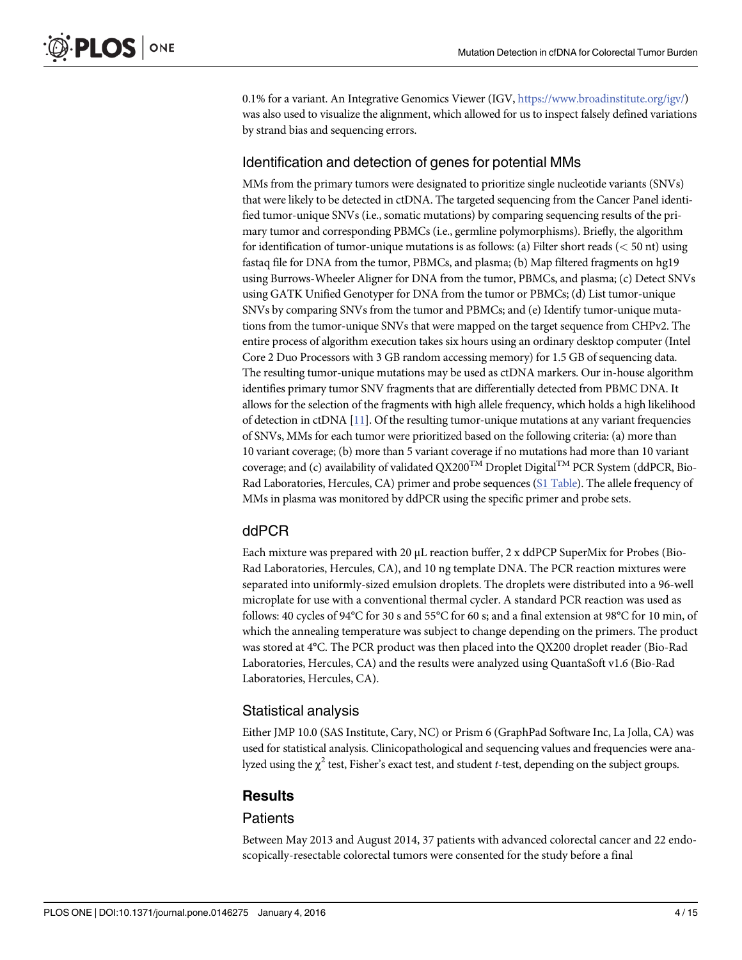0.1% for a variant. An Integrative Genomics Viewer (IGV, <https://www.broadinstitute.org/igv/>) was also used to visualize the alignment, which allowed for us to inspect falsely defined variations by strand bias and sequencing errors.

#### Identification and detection of genes for potential MMs

MMs from the primary tumors were designated to prioritize single nucleotide variants (SNVs) that were likely to be detected in ctDNA. The targeted sequencing from the Cancer Panel identified tumor-unique SNVs (i.e., somatic mutations) by comparing sequencing results of the primary tumor and corresponding PBMCs (i.e., germline polymorphisms). Briefly, the algorithm for identification of tumor-unique mutations is as follows: (a) Filter short reads ( $<$  50 nt) using fastaq file for DNA from the tumor, PBMCs, and plasma; (b) Map filtered fragments on hg19 using Burrows-Wheeler Aligner for DNA from the tumor, PBMCs, and plasma; (c) Detect SNVs using GATK Unified Genotyper for DNA from the tumor or PBMCs; (d) List tumor-unique SNVs by comparing SNVs from the tumor and PBMCs; and (e) Identify tumor-unique mutations from the tumor-unique SNVs that were mapped on the target sequence from CHPv2. The entire process of algorithm execution takes six hours using an ordinary desktop computer (Intel Core 2 Duo Processors with 3 GB random accessing memory) for 1.5 GB of sequencing data. The resulting tumor-unique mutations may be used as ctDNA markers. Our in-house algorithm identifies primary tumor SNV fragments that are differentially detected from PBMC DNA. It allows for the selection of the fragments with high allele frequency, which holds a high likelihood of detection in ctDNA [[11](#page-13-0)]. Of the resulting tumor-unique mutations at any variant frequencies of SNVs, MMs for each tumor were prioritized based on the following criteria: (a) more than 10 variant coverage; (b) more than 5 variant coverage if no mutations had more than 10 variant coverage; and (c) availability of validated QX200<sup>TM</sup> Droplet Digital<sup>TM</sup> PCR System (ddPCR, Bio-Rad Laboratories, Hercules, CA) primer and probe sequences [\(S1 Table](#page-11-0)). The allele frequency of MMs in plasma was monitored by ddPCR using the specific primer and probe sets.

#### ddPCR

Each mixture was prepared with 20 μL reaction buffer, 2 x ddPCP SuperMix for Probes (Bio-Rad Laboratories, Hercules, CA), and 10 ng template DNA. The PCR reaction mixtures were separated into uniformly-sized emulsion droplets. The droplets were distributed into a 96-well microplate for use with a conventional thermal cycler. A standard PCR reaction was used as follows: 40 cycles of 94°C for 30 s and 55°C for 60 s; and a final extension at 98°C for 10 min, of which the annealing temperature was subject to change depending on the primers. The product was stored at 4°C. The PCR product was then placed into the QX200 droplet reader (Bio-Rad Laboratories, Hercules, CA) and the results were analyzed using QuantaSoft v1.6 (Bio-Rad Laboratories, Hercules, CA).

#### Statistical analysis

Either JMP 10.0 (SAS Institute, Cary, NC) or Prism 6 (GraphPad Software Inc, La Jolla, CA) was used for statistical analysis. Clinicopathological and sequencing values and frequencies were analyzed using the  $\chi^2$  test, Fisher's exact test, and student t-test, depending on the subject groups.

#### **Results**

#### **Patients**

Between May 2013 and August 2014, 37 patients with advanced colorectal cancer and 22 endoscopically-resectable colorectal tumors were consented for the study before a final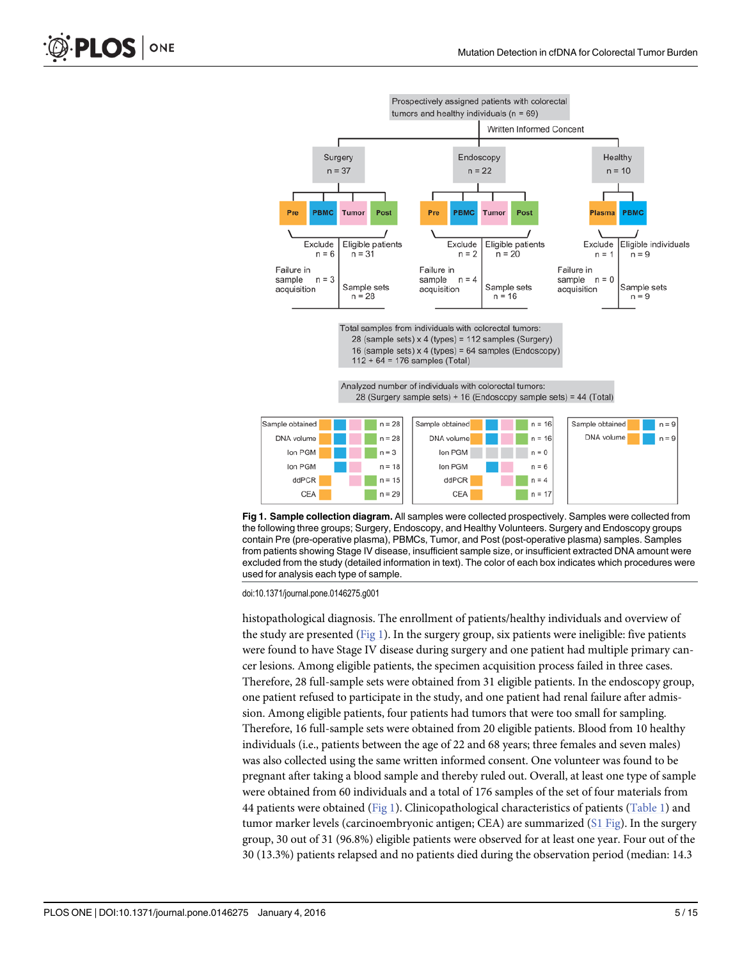

Fig 1. Sample collection diagram. All samples were collected prospectively. Samples were collected from the following three groups; Surgery, Endoscopy, and Healthy Volunteers. Surgery and Endoscopy groups contain Pre (pre-operative plasma), PBMCs, Tumor, and Post (post-operative plasma) samples. Samples from patients showing Stage IV disease, insufficient sample size, or insufficient extracted DNA amount were excluded from the study (detailed information in text). The color of each box indicates which procedures were used for analysis each type of sample.

histopathological diagnosis. The enrollment of patients/healthy individuals and overview of the study are presented  $(Fig_1)$ . In the surgery group, six patients were ineligible: five patients were found to have Stage IV disease during surgery and one patient had multiple primary cancer lesions. Among eligible patients, the specimen acquisition process failed in three cases. Therefore, 28 full-sample sets were obtained from 31 eligible patients. In the endoscopy group, one patient refused to participate in the study, and one patient had renal failure after admission. Among eligible patients, four patients had tumors that were too small for sampling. Therefore, 16 full-sample sets were obtained from 20 eligible patients. Blood from 10 healthy individuals (i.e., patients between the age of 22 and 68 years; three females and seven males) was also collected using the same written informed consent. One volunteer was found to be pregnant after taking a blood sample and thereby ruled out. Overall, at least one type of sample were obtained from 60 individuals and a total of 176 samples of the set of four materials from 44 patients were obtained (Fig 1). Clinicopathological characteristics of patients ([Table 1](#page-6-0)) and tumor marker levels (carcinoembryonic antigen; CEA) are summarized ([S1 Fig](#page-11-0)). In the surgery group, 30 out of 31 (96.8%) eligible patients were observed for at least one year. Four out of the 30 (13.3%) patients relapsed and no patients died during the observation period (median: 14.3

<span id="page-4-0"></span>PLOS ONE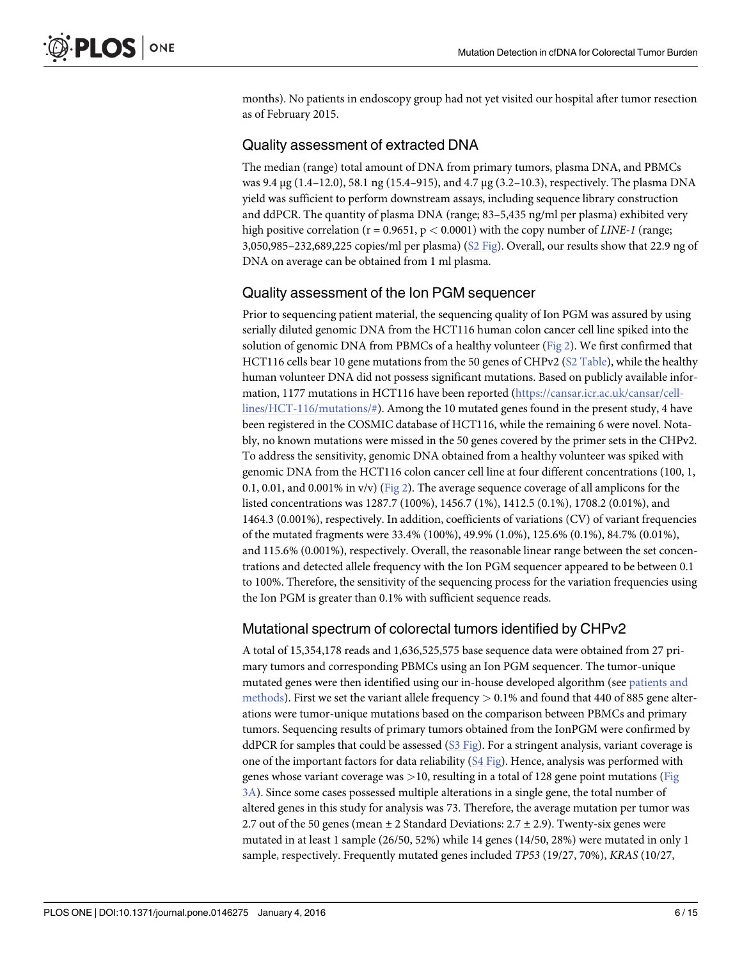<span id="page-5-0"></span>months). No patients in endoscopy group had not yet visited our hospital after tumor resection as of February 2015.

### Quality assessment of extracted DNA

The median (range) total amount of DNA from primary tumors, plasma DNA, and PBMCs was 9.4 μg (1.4–12.0), 58.1 ng (15.4–915), and 4.7 μg (3.2–10.3), respectively. The plasma DNA yield was sufficient to perform downstream assays, including sequence library construction and ddPCR. The quantity of plasma DNA (range; 83–5,435 ng/ml per plasma) exhibited very high positive correlation ( $r = 0.9651$ ,  $p < 0.0001$ ) with the copy number of *LINE-1* (range; 3,050,985–232,689,225 copies/ml per plasma)  $(S2$  Fig). Overall, our results show that 22.9 ng of DNA on average can be obtained from 1 ml plasma.

## Quality assessment of the Ion PGM sequencer

Prior to sequencing patient material, the sequencing quality of Ion PGM was assured by using serially diluted genomic DNA from the HCT116 human colon cancer cell line spiked into the solution of genomic DNA from PBMCs of a healthy volunteer  $(Fig_2)$ . We first confirmed that HCT116 cells bear 10 gene mutations from the 50 genes of CHPv2 [\(S2 Table\)](#page-12-0), while the healthy human volunteer DNA did not possess significant mutations. Based on publicly available information, 1177 mutations in HCT116 have been reported [\(https://cansar.icr.ac.uk/cansar/cell](https://cansar.icr.ac.uk/cansar/cell-lines/HCT-116/mutations/#)[lines/HCT-116/mutations/#\)](https://cansar.icr.ac.uk/cansar/cell-lines/HCT-116/mutations/#). Among the 10 mutated genes found in the present study, 4 have been registered in the COSMIC database of HCT116, while the remaining 6 were novel. Notably, no known mutations were missed in the 50 genes covered by the primer sets in the CHPv2. To address the sensitivity, genomic DNA obtained from a healthy volunteer was spiked with genomic DNA from the HCT116 colon cancer cell line at four different concentrations (100, 1, 0.1, 0.01, and 0.001% in v/v) [\(Fig 2\)](#page-7-0). The average sequence coverage of all amplicons for the listed concentrations was 1287.7 (100%), 1456.7 (1%), 1412.5 (0.1%), 1708.2 (0.01%), and 1464.3 (0.001%), respectively. In addition, coefficients of variations (CV) of variant frequencies of the mutated fragments were 33.4% (100%), 49.9% (1.0%), 125.6% (0.1%), 84.7% (0.01%), and 115.6% (0.001%), respectively. Overall, the reasonable linear range between the set concentrations and detected allele frequency with the Ion PGM sequencer appeared to be between 0.1 to 100%. Therefore, the sensitivity of the sequencing process for the variation frequencies using the Ion PGM is greater than 0.1% with sufficient sequence reads.

# Mutational spectrum of colorectal tumors identified by CHPv2

A total of 15,354,178 reads and 1,636,525,575 base sequence data were obtained from 27 primary tumors and corresponding PBMCs using an Ion PGM sequencer. The tumor-unique mutated genes were then identified using our in-house developed algorithm (see [patients and](#page-1-0) [methods\)](#page-1-0). First we set the variant allele frequency  $> 0.1\%$  and found that 440 of 885 gene alterations were tumor-unique mutations based on the comparison between PBMCs and primary tumors. Sequencing results of primary tumors obtained from the IonPGM were confirmed by ddPCR for samples that could be assessed  $(S3 Fig)$ . For a stringent analysis, variant coverage is one of the important factors for data reliability  $(S4 \text{ Fig})$ . Hence, analysis was performed with genes whose variant coverage was  $>10$ , resulting in a total of 128 gene point mutations ([Fig](#page-8-0). [3A\)](#page-8-0). Since some cases possessed multiple alterations in a single gene, the total number of altered genes in this study for analysis was 73. Therefore, the average mutation per tumor was 2.7 out of the 50 genes (mean  $\pm$  2 Standard Deviations: 2.7  $\pm$  2.9). Twenty-six genes were mutated in at least 1 sample (26/50, 52%) while 14 genes (14/50, 28%) were mutated in only 1 sample, respectively. Frequently mutated genes included TP53 (19/27, 70%), KRAS (10/27,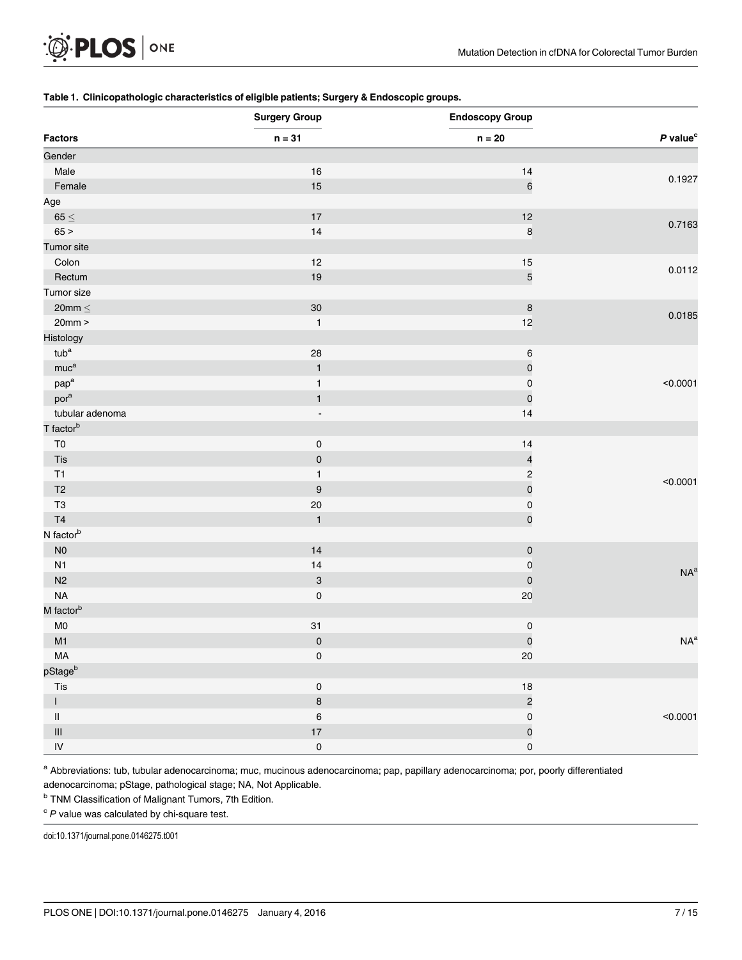#### <span id="page-6-0"></span>[Table 1.](#page-4-0) Clinicopathologic characteristics of eligible patients; Surgery & Endoscopic groups.

| <b>Factors</b>                              | <b>Surgery Group</b><br>$n = 31$ | <b>Endoscopy Group</b><br>$\mathsf{n}=20$ | $P$ value <sup>c</sup> |
|---------------------------------------------|----------------------------------|-------------------------------------------|------------------------|
|                                             |                                  |                                           |                        |
| Male                                        | 16                               | 14                                        |                        |
| Female                                      | 15                               | $\,$ 6 $\,$                               | 0.1927                 |
| Age                                         |                                  |                                           |                        |
| $65 \leq$                                   | $17\,$                           | 12                                        |                        |
| 65 >                                        | 14                               | $\bf8$                                    | 0.7163                 |
| Tumor site                                  |                                  |                                           |                        |
| Colon                                       | 12                               | 15                                        |                        |
| Rectum                                      | 19                               | $\sqrt{5}$                                | 0.0112                 |
| Tumor size                                  |                                  |                                           |                        |
| 20mm $\leq$                                 | 30                               | $\bf8$                                    |                        |
| 20mm                                        | $\mathbf{1}$                     | 12                                        | 0.0185                 |
| Histology                                   |                                  |                                           |                        |
| $tub^a$                                     | 28                               | $\,6\,$                                   |                        |
| muc <sup>a</sup>                            | $\mathbf{1}$                     | $\pmb{\mathsf{O}}$                        |                        |
| $\mathsf{p}\mathsf{a}\mathsf{p}^\mathsf{a}$ | $\mathbf{1}$                     | $\mathsf{O}\xspace$                       | < 0.0001               |
| por <sup>a</sup>                            | $\mathbf{1}$                     | $\pmb{0}$                                 |                        |
| tubular adenoma                             | $\overline{\phantom{a}}$         | 14                                        |                        |
| T factor <sup>b</sup>                       |                                  |                                           |                        |
| T <sub>0</sub>                              | $\pmb{0}$                        | $14$                                      |                        |
| Tis                                         | $\pmb{0}$                        | $\overline{\mathbf{r}}$                   |                        |
| T1                                          | $\mathbf{1}$                     | $\sqrt{2}$                                |                        |
| T <sub>2</sub>                              | $\boldsymbol{9}$                 | $\mathsf{o}$                              | < 0.0001               |
| T <sub>3</sub>                              | 20                               | $\mathsf{O}\xspace$                       |                        |
| T <sub>4</sub>                              | $\mathbf{1}$                     | $\mathsf{O}\xspace$                       |                        |
| N factor <sup>b</sup>                       |                                  |                                           |                        |
| $\rm NO$                                    | 14                               | $\mathsf{O}\xspace$                       |                        |
| N1                                          | 14                               | $\mathsf{O}\xspace$                       |                        |
| N2                                          | $\ensuremath{\mathsf{3}}$        | $\mathsf{O}\xspace$                       | NA <sup>a</sup>        |
| NA                                          | $\mathsf 0$                      | $20\,$                                    |                        |
| M factor <sup>b</sup>                       |                                  |                                           |                        |
| ${\sf M0}$                                  | 31                               | $\pmb{0}$                                 |                        |
| M1                                          | $\pmb{0}$                        | $\mathsf{O}\xspace$                       | $NA^a$                 |
| MA                                          | $\pmb{0}$                        | $20\,$                                    |                        |
| pStage <sup>b</sup>                         |                                  |                                           |                        |
| Tis                                         | $\pmb{0}$                        | $18\,$                                    |                        |
| $\mathsf{I}$                                | $\bf{8}$                         | $\overline{c}$                            |                        |
| $\ensuremath{\mathsf{II}}$                  | $\, 6$                           | $\mathsf 0$                               | < 0.0001               |
| $\ensuremath{\mathsf{III}}\xspace$          | 17                               | $\mathbf{0}$                              |                        |
| $\sf IV$                                    | $\mathsf{O}\xspace$              | $\mathsf{O}\xspace$                       |                        |

a Abbreviations: tub, tubular adenocarcinoma; muc, mucinous adenocarcinoma; pap, papillary adenocarcinoma; por, poorly differentiated

adenocarcinoma; pStage, pathological stage; NA, Not Applicable.

**b TNM Classification of Malignant Tumors, 7th Edition.** 

 $c$  P value was calculated by chi-square test.

doi:10.1371/journal.pone.0146275.t001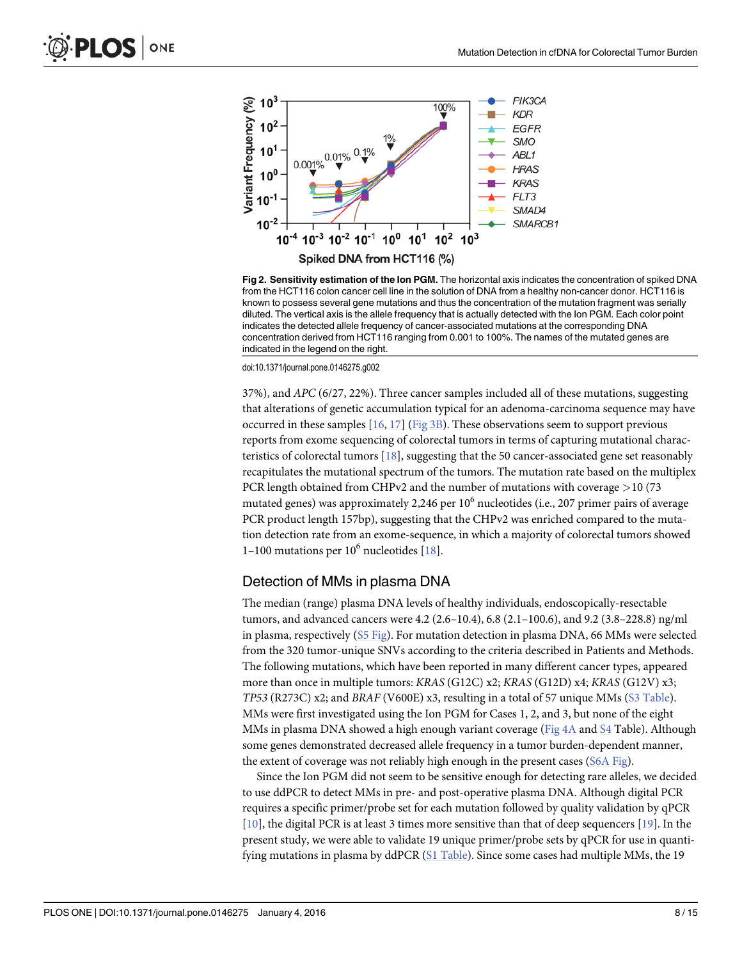<span id="page-7-0"></span>

[Fig 2. S](#page-5-0)ensitivity estimation of the Ion PGM. The horizontal axis indicates the concentration of spiked DNA from the HCT116 colon cancer cell line in the solution of DNA from a healthy non-cancer donor. HCT116 is known to possess several gene mutations and thus the concentration of the mutation fragment was serially diluted. The vertical axis is the allele frequency that is actually detected with the Ion PGM. Each color point indicates the detected allele frequency of cancer-associated mutations at the corresponding DNA concentration derived from HCT116 ranging from 0.001 to 100%. The names of the mutated genes are indicated in the legend on the right.

37%), and APC (6/27, 22%). Three cancer samples included all of these mutations, suggesting that alterations of genetic accumulation typical for an adenoma-carcinoma sequence may have occurred in these samples  $[16, 17]$  $[16, 17]$  $[16, 17]$  $[16, 17]$  $[16, 17]$  [\(Fig 3B](#page-8-0)). These observations seem to support previous reports from exome sequencing of colorectal tumors in terms of capturing mutational characteristics of colorectal tumors  $[18]$  $[18]$ , suggesting that the 50 cancer-associated gene set reasonably recapitulates the mutational spectrum of the tumors. The mutation rate based on the multiplex PCR length obtained from CHPv2 and the number of mutations with coverage >10 (73 mutated genes) was approximately 2,246 per  $10<sup>6</sup>$  nucleotides (i.e., 207 primer pairs of average PCR product length 157bp), suggesting that the CHPv2 was enriched compared to the mutation detection rate from an exome-sequence, in which a majority of colorectal tumors showed 1–100 mutations per  $10^6$  nucleotides  $[18]$  $[18]$  $[18]$ .

#### Detection of MMs in plasma DNA

The median (range) plasma DNA levels of healthy individuals, endoscopically-resectable tumors, and advanced cancers were 4.2 (2.6–10.4), 6.8 (2.1–100.6), and 9.2 (3.8–228.8) ng/ml in plasma, respectively [\(S5 Fig](#page-11-0)). For mutation detection in plasma DNA, 66 MMs were selected from the 320 tumor-unique SNVs according to the criteria described in Patients and Methods. The following mutations, which have been reported in many different cancer types, appeared more than once in multiple tumors: KRAS (G12C) x2; KRAS (G12D) x4; KRAS (G12V) x3; TP53 (R273C) x2; and BRAF (V600E) x3, resulting in a total of 57 unique MMs ([S3 Table\)](#page-12-0). MMs were first investigated using the Ion PGM for Cases 1, 2, and 3, but none of the eight MMs in plasma DNA showed a high enough variant coverage ([Fig 4A](#page-9-0) and [S4](#page-12-0) Table). Although some genes demonstrated decreased allele frequency in a tumor burden-dependent manner, the extent of coverage was not reliably high enough in the present cases ([S6A Fig\)](#page-11-0).

Since the Ion PGM did not seem to be sensitive enough for detecting rare alleles, we decided to use ddPCR to detect MMs in pre- and post-operative plasma DNA. Although digital PCR requires a specific primer/probe set for each mutation followed by quality validation by qPCR [\[10](#page-13-0)], the digital PCR is at least 3 times more sensitive than that of deep sequencers [[19](#page-13-0)]. In the present study, we were able to validate 19 unique primer/probe sets by qPCR for use in quanti-fying mutations in plasma by ddPCR ([S1 Table\)](#page-11-0). Since some cases had multiple MMs, the 19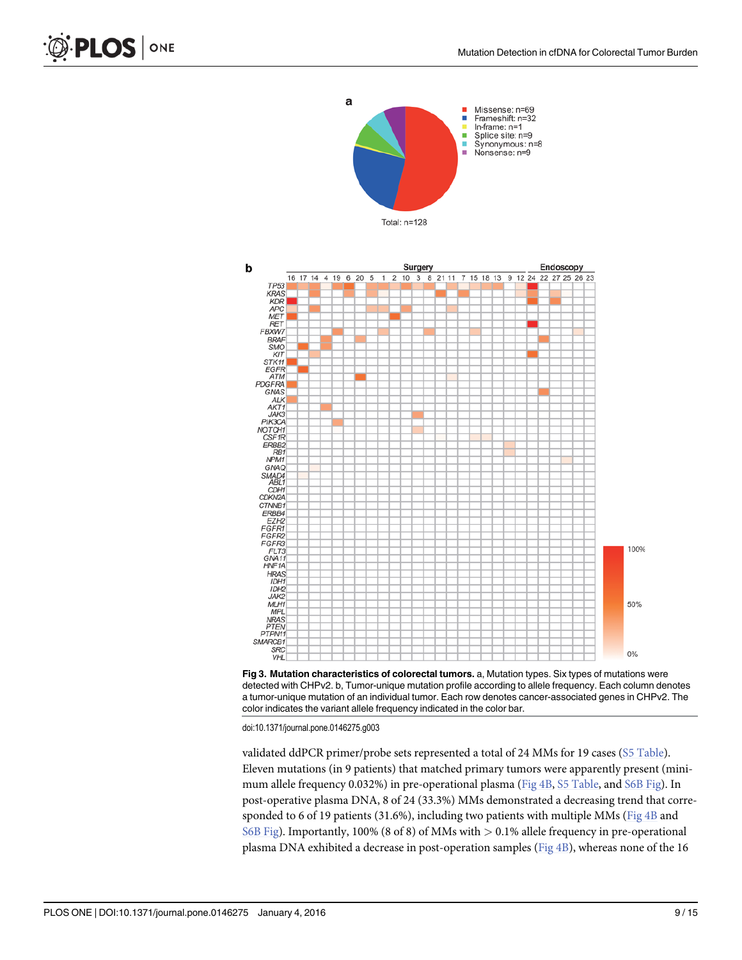





validated ddPCR primer/probe sets represented a total of 24 MMs for 19 cases ([S5 Table\)](#page-12-0). Eleven mutations (in 9 patients) that matched primary tumors were apparently present (mini-mum allele frequency 0.032%) in pre-operational plasma ([Fig 4B,](#page-9-0) [S5 Table](#page-12-0), and [S6B Fig\)](#page-11-0). In post-operative plasma DNA, 8 of 24 (33.3%) MMs demonstrated a decreasing trend that corresponded to 6 of 19 patients (31.6%), including two patients with multiple MMs ( $Fig 4B$  and [S6B Fig\)](#page-11-0). Importantly, 100% (8 of 8) of MMs with > 0.1% allele frequency in pre-operational plasma DNA exhibited a decrease in post-operation samples [\(Fig 4B\)](#page-9-0), whereas none of the 16

<span id="page-8-0"></span>PLOS ONE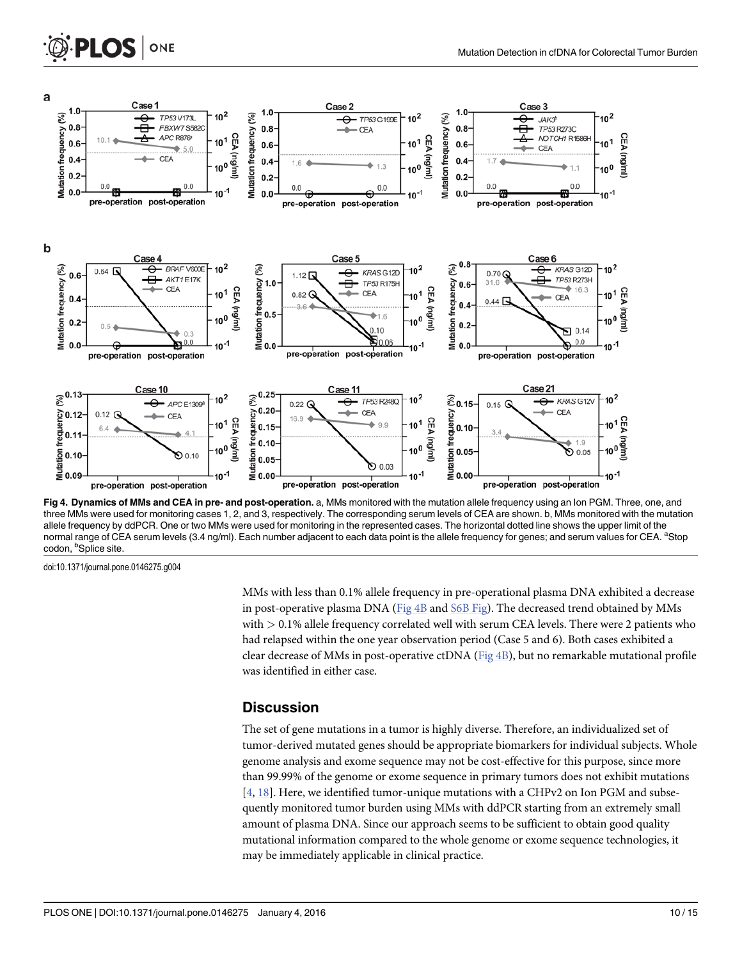

[Fig 4. D](#page-7-0)ynamics of MMs and CEA in pre- and post-operation. a, MMs monitored with the mutation allele frequency using an lon PGM. Three, one, and three MMs were used for monitoring cases 1, 2, and 3, respectively. The corresponding serum levels of CEA are shown. b, MMs monitored with the mutation allele frequency by ddPCR. One or two MMs were used for monitoring in the represented cases. The horizontal dotted line shows the upper limit of the normal range of CEA serum levels (3.4 ng/ml). Each number adjacent to each data point is the allele frequency for genes; and serum values for CEA. <sup>a</sup>Stop codon, <sup>b</sup>Splice site.

<span id="page-9-0"></span>**PLOS I** 

ONE

MMs with less than 0.1% allele frequency in pre-operational plasma DNA exhibited a decrease in post-operative plasma DNA (Fig 4B and [S6B Fig\)](#page-11-0). The decreased trend obtained by MMs with  $> 0.1\%$  allele frequency correlated well with serum CEA levels. There were 2 patients who had relapsed within the one year observation period (Case 5 and 6). Both cases exhibited a clear decrease of MMs in post-operative ctDNA (Fig 4B), but no remarkable mutational profile was identified in either case.

#### **Discussion**

The set of gene mutations in a tumor is highly diverse. Therefore, an individualized set of tumor-derived mutated genes should be appropriate biomarkers for individual subjects. Whole genome analysis and exome sequence may not be cost-effective for this purpose, since more than 99.99% of the genome or exome sequence in primary tumors does not exhibit mutations  $[4, 18]$  $[4, 18]$  $[4, 18]$  $[4, 18]$ . Here, we identified tumor-unique mutations with a CHPv2 on Ion PGM and subsequently monitored tumor burden using MMs with ddPCR starting from an extremely small amount of plasma DNA. Since our approach seems to be sufficient to obtain good quality mutational information compared to the whole genome or exome sequence technologies, it may be immediately applicable in clinical practice.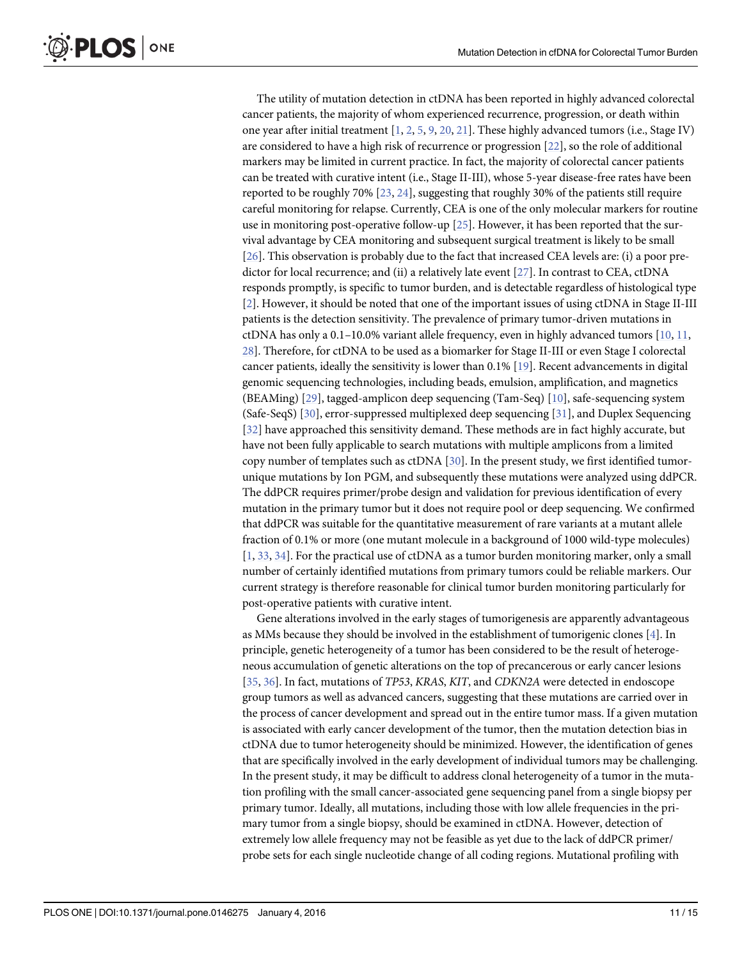<span id="page-10-0"></span>The utility of mutation detection in ctDNA has been reported in highly advanced colorectal cancer patients, the majority of whom experienced recurrence, progression, or death within one year after initial treatment [\[1,](#page-12-0) [2](#page-12-0), [5](#page-12-0), [9](#page-12-0), [20](#page-13-0), [21](#page-13-0)]. These highly advanced tumors (i.e., Stage IV) are considered to have a high risk of recurrence or progression [\[22\]](#page-13-0), so the role of additional markers may be limited in current practice. In fact, the majority of colorectal cancer patients can be treated with curative intent (i.e., Stage II-III), whose 5-year disease-free rates have been reported to be roughly 70%  $[23, 24]$  $[23, 24]$  $[23, 24]$  $[23, 24]$  $[23, 24]$ , suggesting that roughly 30% of the patients still require careful monitoring for relapse. Currently, CEA is one of the only molecular markers for routine use in monitoring post-operative follow-up  $[25]$  $[25]$  $[25]$ . However, it has been reported that the survival advantage by CEA monitoring and subsequent surgical treatment is likely to be small [\[26](#page-13-0)]. This observation is probably due to the fact that increased CEA levels are: (i) a poor predictor for local recurrence; and (ii) a relatively late event [[27\]](#page-13-0). In contrast to CEA, ctDNA responds promptly, is specific to tumor burden, and is detectable regardless of histological type [\[2](#page-12-0)]. However, it should be noted that one of the important issues of using ctDNA in Stage II-III patients is the detection sensitivity. The prevalence of primary tumor-driven mutations in ctDNA has only a  $0.1-10.0\%$  variant allele frequency, even in highly advanced tumors  $[10, 11, 1]$  $[10, 11, 1]$  $[10, 11, 1]$  $[10, 11, 1]$ [28\]](#page-13-0). Therefore, for ctDNA to be used as a biomarker for Stage II-III or even Stage I colorectal cancer patients, ideally the sensitivity is lower than  $0.1\%$  [\[19\]](#page-13-0). Recent advancements in digital genomic sequencing technologies, including beads, emulsion, amplification, and magnetics (BEAMing) [\[29\]](#page-13-0), tagged-amplicon deep sequencing (Tam-Seq) [\[10\]](#page-13-0), safe-sequencing system (Safe-SeqS) [[30\]](#page-13-0), error-suppressed multiplexed deep sequencing [[31](#page-13-0)], and Duplex Sequencing [\[32](#page-14-0)] have approached this sensitivity demand. These methods are in fact highly accurate, but have not been fully applicable to search mutations with multiple amplicons from a limited copy number of templates such as  $ctDNA$  [[30](#page-13-0)]. In the present study, we first identified tumorunique mutations by Ion PGM, and subsequently these mutations were analyzed using ddPCR. The ddPCR requires primer/probe design and validation for previous identification of every mutation in the primary tumor but it does not require pool or deep sequencing. We confirmed that ddPCR was suitable for the quantitative measurement of rare variants at a mutant allele fraction of 0.1% or more (one mutant molecule in a background of 1000 wild-type molecules) [\[1](#page-12-0), [33](#page-14-0), [34](#page-14-0)]. For the practical use of ctDNA as a tumor burden monitoring marker, only a small number of certainly identified mutations from primary tumors could be reliable markers. Our current strategy is therefore reasonable for clinical tumor burden monitoring particularly for post-operative patients with curative intent.

Gene alterations involved in the early stages of tumorigenesis are apparently advantageous as MMs because they should be involved in the establishment of tumorigenic clones [\[4](#page-12-0)]. In principle, genetic heterogeneity of a tumor has been considered to be the result of heterogeneous accumulation of genetic alterations on the top of precancerous or early cancer lesions [\[35](#page-14-0), [36\]](#page-14-0). In fact, mutations of TP53, KRAS, KIT, and CDKN2A were detected in endoscope group tumors as well as advanced cancers, suggesting that these mutations are carried over in the process of cancer development and spread out in the entire tumor mass. If a given mutation is associated with early cancer development of the tumor, then the mutation detection bias in ctDNA due to tumor heterogeneity should be minimized. However, the identification of genes that are specifically involved in the early development of individual tumors may be challenging. In the present study, it may be difficult to address clonal heterogeneity of a tumor in the mutation profiling with the small cancer-associated gene sequencing panel from a single biopsy per primary tumor. Ideally, all mutations, including those with low allele frequencies in the primary tumor from a single biopsy, should be examined in ctDNA. However, detection of extremely low allele frequency may not be feasible as yet due to the lack of ddPCR primer/ probe sets for each single nucleotide change of all coding regions. Mutational profiling with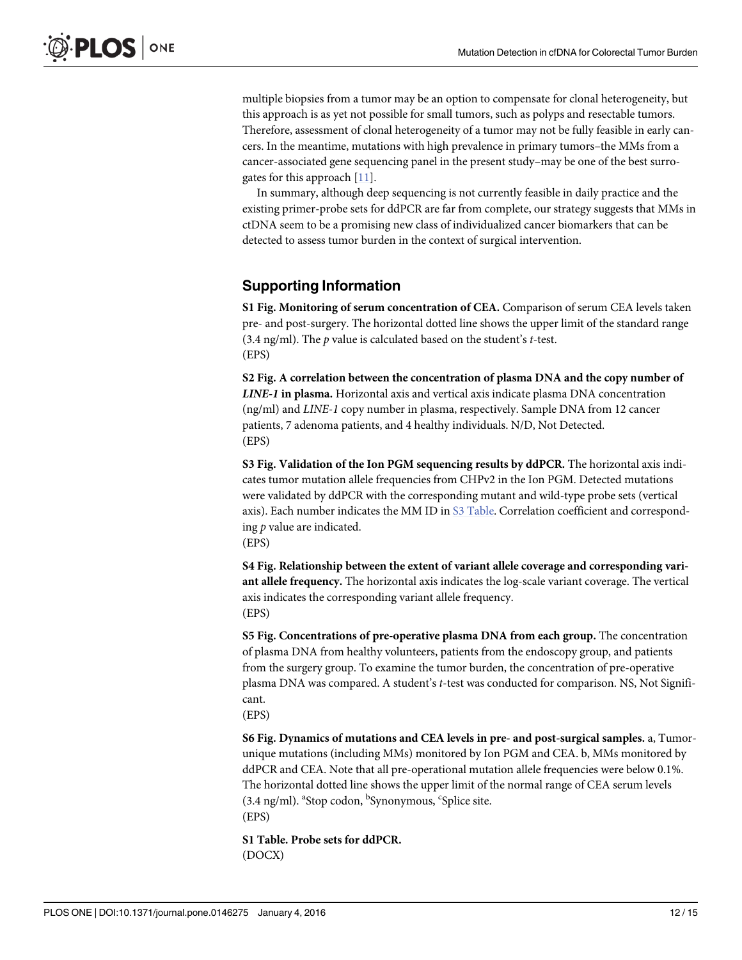<span id="page-11-0"></span>multiple biopsies from a tumor may be an option to compensate for clonal heterogeneity, but this approach is as yet not possible for small tumors, such as polyps and resectable tumors. Therefore, assessment of clonal heterogeneity of a tumor may not be fully feasible in early cancers. In the meantime, mutations with high prevalence in primary tumors–the MMs from a cancer-associated gene sequencing panel in the present study–may be one of the best surrogates for this approach [[11](#page-13-0)].

In summary, although deep sequencing is not currently feasible in daily practice and the existing primer-probe sets for ddPCR are far from complete, our strategy suggests that MMs in ctDNA seem to be a promising new class of individualized cancer biomarkers that can be detected to assess tumor burden in the context of surgical intervention.

#### Supporting Information

[S1 Fig.](http://www.plosone.org/article/fetchSingleRepresentation.action?uri=info:doi/10.1371/journal.pone.0146275.s001) Monitoring of serum concentration of CEA. Comparison of serum CEA levels taken pre- and post-surgery. The horizontal dotted line shows the upper limit of the standard range (3.4 ng/ml). The  $p$  value is calculated based on the student's  $t$ -test. (EPS)

[S2 Fig.](http://www.plosone.org/article/fetchSingleRepresentation.action?uri=info:doi/10.1371/journal.pone.0146275.s002) A correlation between the concentration of plasma DNA and the copy number of LINE-1 in plasma. Horizontal axis and vertical axis indicate plasma DNA concentration (ng/ml) and LINE-1 copy number in plasma, respectively. Sample DNA from 12 cancer patients, 7 adenoma patients, and 4 healthy individuals. N/D, Not Detected. (EPS)

[S3 Fig.](http://www.plosone.org/article/fetchSingleRepresentation.action?uri=info:doi/10.1371/journal.pone.0146275.s003) Validation of the Ion PGM sequencing results by ddPCR. The horizontal axis indicates tumor mutation allele frequencies from CHPv2 in the Ion PGM. Detected mutations were validated by ddPCR with the corresponding mutant and wild-type probe sets (vertical axis). Each number indicates the MM ID in [S3 Table.](#page-12-0) Correlation coefficient and corresponding  $p$  value are indicated.

(EPS)

[S4 Fig.](http://www.plosone.org/article/fetchSingleRepresentation.action?uri=info:doi/10.1371/journal.pone.0146275.s004) Relationship between the extent of variant allele coverage and corresponding variant allele frequency. The horizontal axis indicates the log-scale variant coverage. The vertical axis indicates the corresponding variant allele frequency. (EPS)

[S5 Fig.](http://www.plosone.org/article/fetchSingleRepresentation.action?uri=info:doi/10.1371/journal.pone.0146275.s005) Concentrations of pre-operative plasma DNA from each group. The concentration of plasma DNA from healthy volunteers, patients from the endoscopy group, and patients from the surgery group. To examine the tumor burden, the concentration of pre-operative plasma DNA was compared. A student'<sup>s</sup> t-test was conducted for comparison. NS, Not Significant.

(EPS)

[S6 Fig.](http://www.plosone.org/article/fetchSingleRepresentation.action?uri=info:doi/10.1371/journal.pone.0146275.s006) Dynamics of mutations and CEA levels in pre- and post-surgical samples. a, Tumorunique mutations (including MMs) monitored by Ion PGM and CEA. b, MMs monitored by ddPCR and CEA. Note that all pre-operational mutation allele frequencies were below 0.1%. The horizontal dotted line shows the upper limit of the normal range of CEA serum levels (3.4 ng/ml). <sup>a</sup>Stop codon, <sup>b</sup>Synonymous, <sup>c</sup>Splice site. (EPS)

[S1 Table](http://www.plosone.org/article/fetchSingleRepresentation.action?uri=info:doi/10.1371/journal.pone.0146275.s007). Probe sets for ddPCR. (DOCX)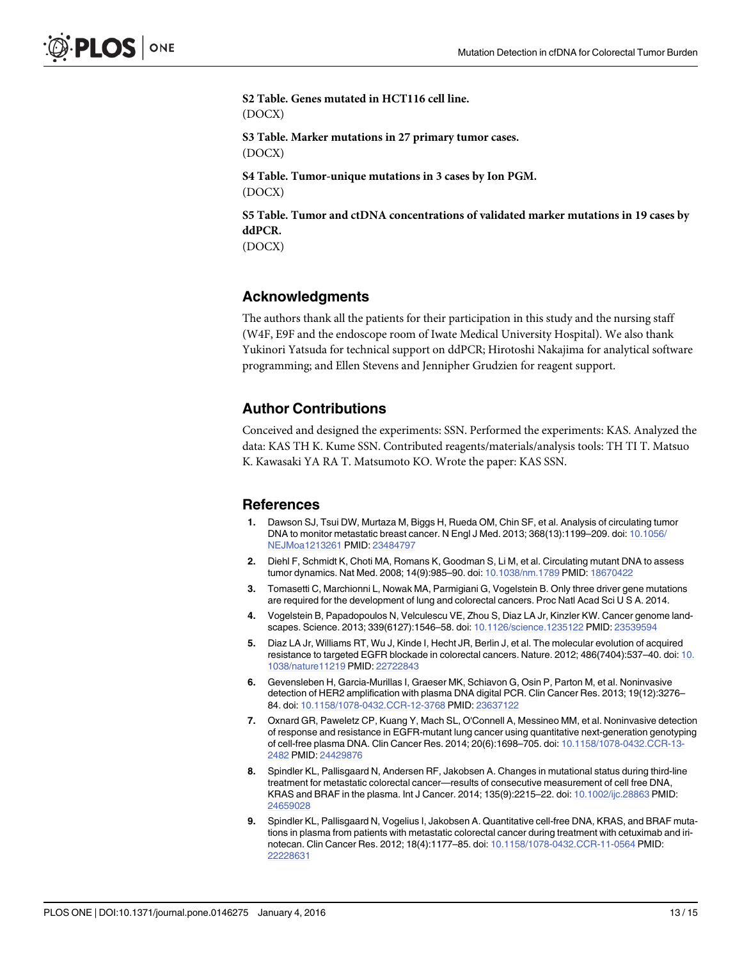<span id="page-12-0"></span>[S2 Table](http://www.plosone.org/article/fetchSingleRepresentation.action?uri=info:doi/10.1371/journal.pone.0146275.s008). Genes mutated in HCT116 cell line. (DOCX) [S3 Table](http://www.plosone.org/article/fetchSingleRepresentation.action?uri=info:doi/10.1371/journal.pone.0146275.s009). Marker mutations in 27 primary tumor cases. (DOCX) [S4 Table](http://www.plosone.org/article/fetchSingleRepresentation.action?uri=info:doi/10.1371/journal.pone.0146275.s010). Tumor-unique mutations in 3 cases by Ion PGM. (DOCX) [S5 Table](http://www.plosone.org/article/fetchSingleRepresentation.action?uri=info:doi/10.1371/journal.pone.0146275.s011). Tumor and ctDNA concentrations of validated marker mutations in 19 cases by ddPCR. (DOCX)

## Acknowledgments

The authors thank all the patients for their participation in this study and the nursing staff (W4F, E9F and the endoscope room of Iwate Medical University Hospital). We also thank Yukinori Yatsuda for technical support on ddPCR; Hirotoshi Nakajima for analytical software programming; and Ellen Stevens and Jennipher Grudzien for reagent support.

# Author Contributions

Conceived and designed the experiments: SSN. Performed the experiments: KAS. Analyzed the data: KAS TH K. Kume SSN. Contributed reagents/materials/analysis tools: TH TI T. Matsuo K. Kawasaki YA RA T. Matsumoto KO. Wrote the paper: KAS SSN.

#### References

- [1.](#page-1-0) Dawson SJ, Tsui DW, Murtaza M, Biggs H, Rueda OM, Chin SF, et al. Analysis of circulating tumor DNA to monitor metastatic breast cancer. N Engl J Med. 2013; 368(13):1199–209. doi: [10.1056/](http://dx.doi.org/10.1056/NEJMoa1213261) [NEJMoa1213261](http://dx.doi.org/10.1056/NEJMoa1213261) PMID: [23484797](http://www.ncbi.nlm.nih.gov/pubmed/23484797)
- [2.](#page-1-0) Diehl F, Schmidt K, Choti MA, Romans K, Goodman S, Li M, et al. Circulating mutant DNA to assess tumor dynamics. Nat Med. 2008; 14(9):985–90. doi: [10.1038/nm.1789](http://dx.doi.org/10.1038/nm.1789) PMID: [18670422](http://www.ncbi.nlm.nih.gov/pubmed/18670422)
- [3.](#page-1-0) Tomasetti C, Marchionni L, Nowak MA, Parmigiani G, Vogelstein B. Only three driver gene mutations are required for the development of lung and colorectal cancers. Proc Natl Acad Sci U S A. 2014.
- [4.](#page-1-0) Vogelstein B, Papadopoulos N, Velculescu VE, Zhou S, Diaz LA Jr, Kinzler KW. Cancer genome landscapes. Science. 2013; 339(6127):1546–58. doi: [10.1126/science.1235122](http://dx.doi.org/10.1126/science.1235122) PMID: [23539594](http://www.ncbi.nlm.nih.gov/pubmed/23539594)
- [5.](#page-1-0) Diaz LA Jr, Williams RT, Wu J, Kinde I, Hecht JR, Berlin J, et al. The molecular evolution of acquired resistance to targeted EGFR blockade in colorectal cancers. Nature. 2012; 486(7404):537–40. doi: [10.](http://dx.doi.org/10.1038/nature11219) [1038/nature11219](http://dx.doi.org/10.1038/nature11219) PMID: [22722843](http://www.ncbi.nlm.nih.gov/pubmed/22722843)
- 6. Gevensleben H, Garcia-Murillas I, Graeser MK, Schiavon G, Osin P, Parton M, et al. Noninvasive detection of HER2 amplification with plasma DNA digital PCR. Clin Cancer Res. 2013; 19(12):3276– 84. doi: [10.1158/1078-0432.CCR-12-3768](http://dx.doi.org/10.1158/1078-0432.CCR-12-3768) PMID: [23637122](http://www.ncbi.nlm.nih.gov/pubmed/23637122)
- [7.](#page-1-0) Oxnard GR, Paweletz CP, Kuang Y, Mach SL, O'Connell A, Messineo MM, et al. Noninvasive detection of response and resistance in EGFR-mutant lung cancer using quantitative next-generation genotyping of cell-free plasma DNA. Clin Cancer Res. 2014; 20(6):1698–705. doi: [10.1158/1078-0432.CCR-13-](http://dx.doi.org/10.1158/1078-0432.CCR-13-2482) [2482](http://dx.doi.org/10.1158/1078-0432.CCR-13-2482) PMID: [24429876](http://www.ncbi.nlm.nih.gov/pubmed/24429876)
- 8. Spindler KL, Pallisgaard N, Andersen RF, Jakobsen A. Changes in mutational status during third-line treatment for metastatic colorectal cancer—results of consecutive measurement of cell free DNA, KRAS and BRAF in the plasma. Int J Cancer. 2014; 135(9):2215–22. doi: [10.1002/ijc.28863](http://dx.doi.org/10.1002/ijc.28863) PMID: [24659028](http://www.ncbi.nlm.nih.gov/pubmed/24659028)
- [9.](#page-1-0) Spindler KL, Pallisgaard N, Vogelius I, Jakobsen A. Quantitative cell-free DNA, KRAS, and BRAF mutations in plasma from patients with metastatic colorectal cancer during treatment with cetuximab and irinotecan. Clin Cancer Res. 2012; 18(4):1177–85. doi: [10.1158/1078-0432.CCR-11-0564](http://dx.doi.org/10.1158/1078-0432.CCR-11-0564) PMID: [22228631](http://www.ncbi.nlm.nih.gov/pubmed/22228631)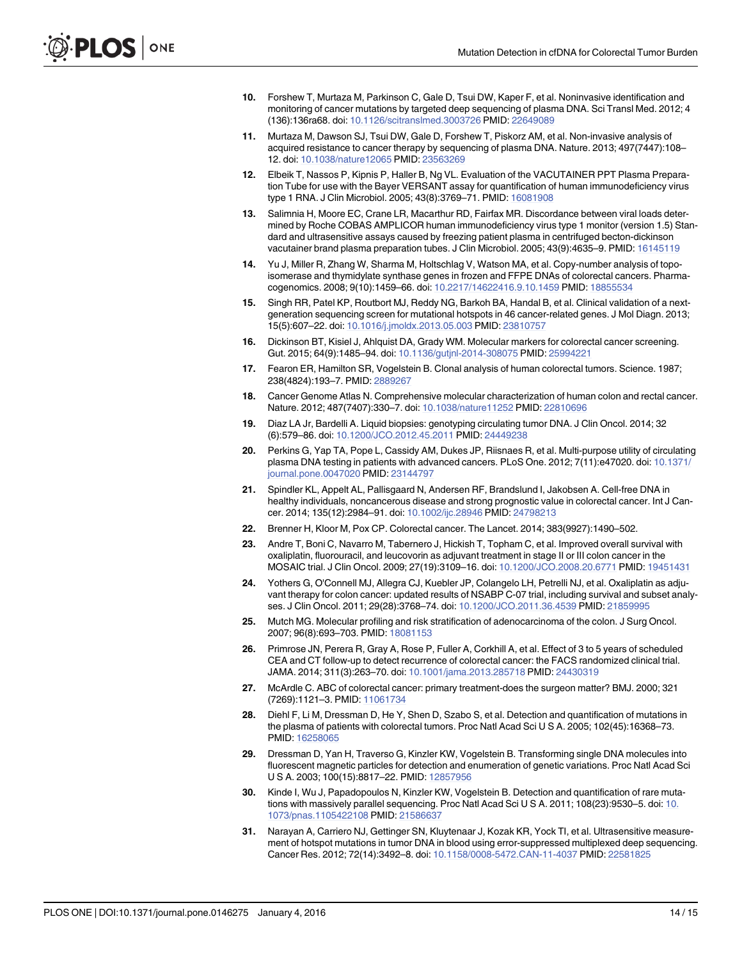- <span id="page-13-0"></span>[10.](#page-1-0) Forshew T, Murtaza M, Parkinson C, Gale D, Tsui DW, Kaper F, et al. Noninvasive identification and monitoring of cancer mutations by targeted deep sequencing of plasma DNA. Sci Transl Med. 2012; 4 (136):136ra68. doi: [10.1126/scitranslmed.3003726](http://dx.doi.org/10.1126/scitranslmed.3003726) PMID: [22649089](http://www.ncbi.nlm.nih.gov/pubmed/22649089)
- [11.](#page-1-0) Murtaza M, Dawson SJ, Tsui DW, Gale D, Forshew T, Piskorz AM, et al. Non-invasive analysis of acquired resistance to cancer therapy by sequencing of plasma DNA. Nature. 2013; 497(7447):108– 12. doi: [10.1038/nature12065](http://dx.doi.org/10.1038/nature12065) PMID: [23563269](http://www.ncbi.nlm.nih.gov/pubmed/23563269)
- [12.](#page-2-0) Elbeik T, Nassos P, Kipnis P, Haller B, Ng VL. Evaluation of the VACUTAINER PPT Plasma Preparation Tube for use with the Bayer VERSANT assay for quantification of human immunodeficiency virus type 1 RNA. J Clin Microbiol. 2005; 43(8):3769–71. PMID: [16081908](http://www.ncbi.nlm.nih.gov/pubmed/16081908)
- [13.](#page-2-0) Salimnia H, Moore EC, Crane LR, Macarthur RD, Fairfax MR. Discordance between viral loads determined by Roche COBAS AMPLICOR human immunodeficiency virus type 1 monitor (version 1.5) Standard and ultrasensitive assays caused by freezing patient plasma in centrifuged becton-dickinson vacutainer brand plasma preparation tubes. J Clin Microbiol. 2005; 43(9):4635–9. PMID: [16145119](http://www.ncbi.nlm.nih.gov/pubmed/16145119)
- [14.](#page-2-0) Yu J, Miller R, Zhang W, Sharma M, Holtschlag V, Watson MA, et al. Copy-number analysis of topoisomerase and thymidylate synthase genes in frozen and FFPE DNAs of colorectal cancers. Pharmacogenomics. 2008; 9(10):1459–66. doi: [10.2217/14622416.9.10.1459](http://dx.doi.org/10.2217/14622416.9.10.1459) PMID: [18855534](http://www.ncbi.nlm.nih.gov/pubmed/18855534)
- [15.](#page-2-0) Singh RR, Patel KP, Routbort MJ, Reddy NG, Barkoh BA, Handal B, et al. Clinical validation of a nextgeneration sequencing screen for mutational hotspots in 46 cancer-related genes. J Mol Diagn. 2013; 15(5):607–22. doi: [10.1016/j.jmoldx.2013.05.003](http://dx.doi.org/10.1016/j.jmoldx.2013.05.003) PMID: [23810757](http://www.ncbi.nlm.nih.gov/pubmed/23810757)
- Dickinson BT, Kisiel J, Ahlquist DA, Grady WM. Molecular markers for colorectal cancer screening. Gut. 2015; 64(9):1485–94. doi: [10.1136/gutjnl-2014-308075](http://dx.doi.org/10.1136/gutjnl-2014-308075) PMID: [25994221](http://www.ncbi.nlm.nih.gov/pubmed/25994221)
- [17.](#page-7-0) Fearon ER, Hamilton SR, Vogelstein B. Clonal analysis of human colorectal tumors. Science. 1987; 238(4824):193–7. PMID: [2889267](http://www.ncbi.nlm.nih.gov/pubmed/2889267)
- [18.](#page-7-0) Cancer Genome Atlas N. Comprehensive molecular characterization of human colon and rectal cancer. Nature. 2012; 487(7407):330–7. doi: [10.1038/nature11252](http://dx.doi.org/10.1038/nature11252) PMID: [22810696](http://www.ncbi.nlm.nih.gov/pubmed/22810696)
- [19.](#page-7-0) Diaz LA Jr, Bardelli A. Liquid biopsies: genotyping circulating tumor DNA. J Clin Oncol. 2014; 32 (6):579–86. doi: [10.1200/JCO.2012.45.2011](http://dx.doi.org/10.1200/JCO.2012.45.2011) PMID: [24449238](http://www.ncbi.nlm.nih.gov/pubmed/24449238)
- [20.](#page-10-0) Perkins G, Yap TA, Pope L, Cassidy AM, Dukes JP, Riisnaes R, et al. Multi-purpose utility of circulating plasma DNA testing in patients with advanced cancers. PLoS One. 2012; 7(11):e47020. doi: [10.1371/](http://dx.doi.org/10.1371/journal.pone.0047020) [journal.pone.0047020](http://dx.doi.org/10.1371/journal.pone.0047020) PMID: [23144797](http://www.ncbi.nlm.nih.gov/pubmed/23144797)
- [21.](#page-10-0) Spindler KL, Appelt AL, Pallisgaard N, Andersen RF, Brandslund I, Jakobsen A. Cell-free DNA in healthy individuals, noncancerous disease and strong prognostic value in colorectal cancer. Int J Cancer. 2014; 135(12):2984–91. doi: [10.1002/ijc.28946](http://dx.doi.org/10.1002/ijc.28946) PMID: [24798213](http://www.ncbi.nlm.nih.gov/pubmed/24798213)
- [22.](#page-10-0) Brenner H, Kloor M, Pox CP. Colorectal cancer. The Lancet. 2014; 383(9927):1490–502.
- [23.](#page-10-0) Andre T, Boni C, Navarro M, Tabernero J, Hickish T, Topham C, et al. Improved overall survival with oxaliplatin, fluorouracil, and leucovorin as adjuvant treatment in stage II or III colon cancer in the MOSAIC trial. J Clin Oncol. 2009; 27(19):3109–16. doi: [10.1200/JCO.2008.20.6771](http://dx.doi.org/10.1200/JCO.2008.20.6771) PMID: [19451431](http://www.ncbi.nlm.nih.gov/pubmed/19451431)
- [24.](#page-10-0) Yothers G, O'Connell MJ, Allegra CJ, Kuebler JP, Colangelo LH, Petrelli NJ, et al. Oxaliplatin as adjuvant therapy for colon cancer: updated results of NSABP C-07 trial, including survival and subset analyses. J Clin Oncol. 2011; 29(28):3768–74. doi: [10.1200/JCO.2011.36.4539](http://dx.doi.org/10.1200/JCO.2011.36.4539) PMID: [21859995](http://www.ncbi.nlm.nih.gov/pubmed/21859995)
- [25.](#page-10-0) Mutch MG. Molecular profiling and risk stratification of adenocarcinoma of the colon. J Surg Oncol. 2007; 96(8):693–703. PMID: [18081153](http://www.ncbi.nlm.nih.gov/pubmed/18081153)
- [26.](#page-10-0) Primrose JN, Perera R, Gray A, Rose P, Fuller A, Corkhill A, et al. Effect of 3 to 5 years of scheduled CEA and CT follow-up to detect recurrence of colorectal cancer: the FACS randomized clinical trial. JAMA. 2014; 311(3):263–70. doi: [10.1001/jama.2013.285718](http://dx.doi.org/10.1001/jama.2013.285718) PMID: [24430319](http://www.ncbi.nlm.nih.gov/pubmed/24430319)
- [27.](#page-10-0) McArdle C. ABC of colorectal cancer: primary treatment-does the surgeon matter? BMJ. 2000; 321 (7269):1121–3. PMID: [11061734](http://www.ncbi.nlm.nih.gov/pubmed/11061734)
- [28.](#page-10-0) Diehl F, Li M, Dressman D, He Y, Shen D, Szabo S, et al. Detection and quantification of mutations in the plasma of patients with colorectal tumors. Proc Natl Acad Sci U S A. 2005; 102(45):16368–73. PMID: [16258065](http://www.ncbi.nlm.nih.gov/pubmed/16258065)
- [29.](#page-10-0) Dressman D, Yan H, Traverso G, Kinzler KW, Vogelstein B. Transforming single DNA molecules into fluorescent magnetic particles for detection and enumeration of genetic variations. Proc Natl Acad Sci U S A. 2003; 100(15):8817–22. PMID: [12857956](http://www.ncbi.nlm.nih.gov/pubmed/12857956)
- [30.](#page-10-0) Kinde I, Wu J, Papadopoulos N, Kinzler KW, Vogelstein B. Detection and quantification of rare mutations with massively parallel sequencing. Proc Natl Acad Sci U S A. 2011; 108(23):9530–5. doi: [10.](http://dx.doi.org/10.1073/pnas.1105422108) [1073/pnas.1105422108](http://dx.doi.org/10.1073/pnas.1105422108) PMID: [21586637](http://www.ncbi.nlm.nih.gov/pubmed/21586637)
- [31.](#page-10-0) Narayan A, Carriero NJ, Gettinger SN, Kluytenaar J, Kozak KR, Yock TI, et al. Ultrasensitive measurement of hotspot mutations in tumor DNA in blood using error-suppressed multiplexed deep sequencing. Cancer Res. 2012; 72(14):3492–8. doi: [10.1158/0008-5472.CAN-11-4037](http://dx.doi.org/10.1158/0008-5472.CAN-11-4037) PMID: [22581825](http://www.ncbi.nlm.nih.gov/pubmed/22581825)